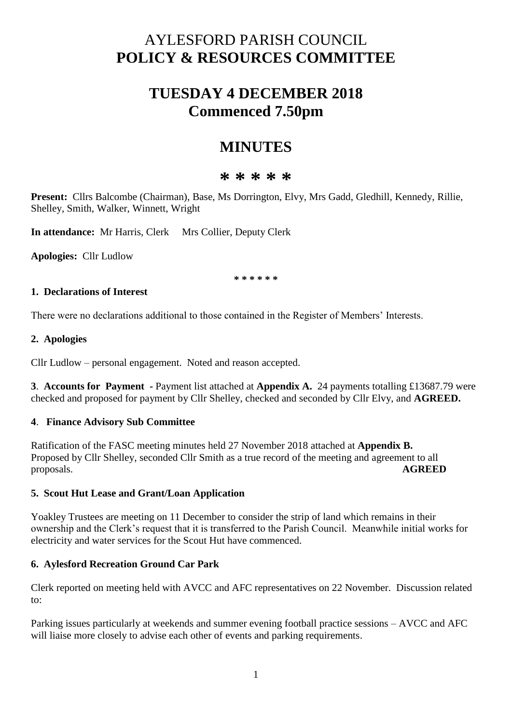# AYLESFORD PARISH COUNCIL **POLICY & RESOURCES COMMITTEE**

# **TUESDAY 4 DECEMBER 2018 Commenced 7.50pm**

# **MINUTES**

# **\* \* \* \* \***

**Present:** Cllrs Balcombe (Chairman), Base, Ms Dorrington, Elvy, Mrs Gadd, Gledhill, Kennedy, Rillie, Shelley, Smith, Walker, Winnett, Wright

**In attendance:** Mr Harris, Clerk Mrs Collier, Deputy Clerk

**Apologies:** Cllr Ludlow

**\* \* \* \* \* \*** 

## **1. Declarations of Interest**

There were no declarations additional to those contained in the Register of Members' Interests.

## **2. Apologies**

Cllr Ludlow – personal engagement. Noted and reason accepted.

**3**. **Accounts for Payment -** Payment list attached at **Appendix A.** 24 payments totalling £13687.79 were checked and proposed for payment by Cllr Shelley, checked and seconded by Cllr Elvy, and **AGREED.**

## **4**. **Finance Advisory Sub Committee**

Ratification of the FASC meeting minutes held 27 November 2018 attached at **Appendix B.**  Proposed by Cllr Shelley, seconded Cllr Smith as a true record of the meeting and agreement to all proposals. **AGREED**

#### **5. Scout Hut Lease and Grant/Loan Application**

Yoakley Trustees are meeting on 11 December to consider the strip of land which remains in their ownership and the Clerk's request that it is transferred to the Parish Council. Meanwhile initial works for electricity and water services for the Scout Hut have commenced.

#### **6. Aylesford Recreation Ground Car Park**

Clerk reported on meeting held with AVCC and AFC representatives on 22 November. Discussion related to:

Parking issues particularly at weekends and summer evening football practice sessions – AVCC and AFC will liaise more closely to advise each other of events and parking requirements.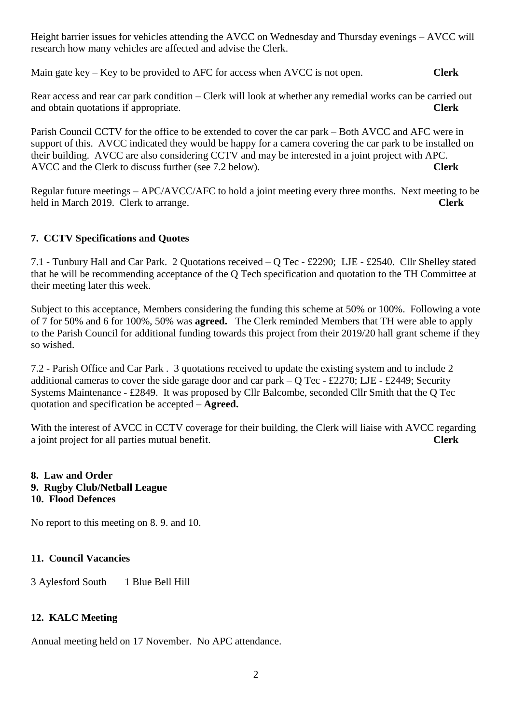Height barrier issues for vehicles attending the AVCC on Wednesday and Thursday evenings – AVCC will research how many vehicles are affected and advise the Clerk.

Main gate key – Key to be provided to AFC for access when AVCC is not open. **Clerk**

Rear access and rear car park condition – Clerk will look at whether any remedial works can be carried out and obtain quotations if appropriate. **Clerk**

Parish Council CCTV for the office to be extended to cover the car park – Both AVCC and AFC were in support of this. AVCC indicated they would be happy for a camera covering the car park to be installed on their building. AVCC are also considering CCTV and may be interested in a joint project with APC. AVCC and the Clerk to discuss further (see 7.2 below). **Clerk**

Regular future meetings – APC/AVCC/AFC to hold a joint meeting every three months. Next meeting to be held in March 2019. Clerk to arrange. **Clerk**

## **7. CCTV Specifications and Quotes**

7.1 - Tunbury Hall and Car Park. 2 Quotations received – Q Tec - £2290; LJE - £2540. Cllr Shelley stated that he will be recommending acceptance of the Q Tech specification and quotation to the TH Committee at their meeting later this week.

Subject to this acceptance, Members considering the funding this scheme at 50% or 100%. Following a vote of 7 for 50% and 6 for 100%, 50% was **agreed.** The Clerk reminded Members that TH were able to apply to the Parish Council for additional funding towards this project from their 2019/20 hall grant scheme if they so wished.

7.2 - Parish Office and Car Park . 3 quotations received to update the existing system and to include 2 additional cameras to cover the side garage door and car park – Q Tec - £2270; LJE - £2449; Security Systems Maintenance - £2849. It was proposed by Cllr Balcombe, seconded Cllr Smith that the Q Tec quotation and specification be accepted – **Agreed.**

With the interest of AVCC in CCTV coverage for their building, the Clerk will liaise with AVCC regarding a joint project for all parties mutual benefit. **Clerk**

## **8. Law and Order 9. Rugby Club/Netball League 10. Flood Defences**

No report to this meeting on 8. 9. and 10.

## **11. Council Vacancies**

3 Aylesford South 1 Blue Bell Hill

## **12. KALC Meeting**

Annual meeting held on 17 November. No APC attendance.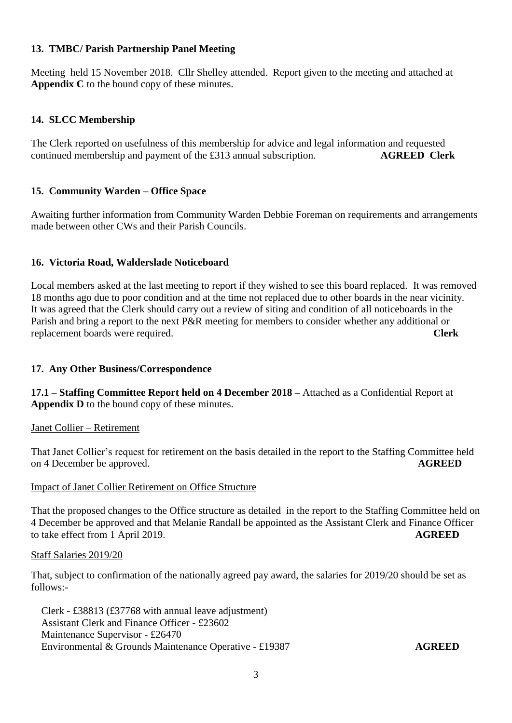## **13. TMBC/ Parish Partnership Panel Meeting**

Meeting held 15 November 2018. Cllr Shelley attended. Report given to the meeting and attached at **Appendix C** to the bound copy of these minutes.

## **14. SLCC Membership**

The Clerk reported on usefulness of this membership for advice and legal information and requested continued membership and payment of the £313 annual subscription. **AGREED Clerk**

## **15. Community Warden – Office Space**

Awaiting further information from Community Warden Debbie Foreman on requirements and arrangements made between other CWs and their Parish Councils.

## **16. Victoria Road, Walderslade Noticeboard**

Local members asked at the last meeting to report if they wished to see this board replaced. It was removed 18 months ago due to poor condition and at the time not replaced due to other boards in the near vicinity. It was agreed that the Clerk should carry out a review of siting and condition of all noticeboards in the Parish and bring a report to the next P&R meeting for members to consider whether any additional or replacement boards were required. **Clerk**

#### **17. Any Other Business/Correspondence**

**17.1 – Staffing Committee Report held on 4 December 2018 –** Attached as a Confidential Report at **Appendix D** to the bound copy of these minutes.

Janet Collier – Retirement

That Janet Collier's request for retirement on the basis detailed in the report to the Staffing Committee held on 4 December be approved. **AGREED**

#### Impact of Janet Collier Retirement on Office Structure

That the proposed changes to the Office structure as detailed in the report to the Staffing Committee held on 4 December be approved and that Melanie Randall be appointed as the Assistant Clerk and Finance Officer to take effect from 1 April 2019. **AGREED**

Staff Salaries 2019/20

That, subject to confirmation of the nationally agreed pay award, the salaries for 2019/20 should be set as follows:-

Clerk - £38813 (£37768 with annual leave adjustment) Assistant Clerk and Finance Officer - £23602 Maintenance Supervisor - £26470 Environmental & Grounds Maintenance Operative - £19387 **AGREED**